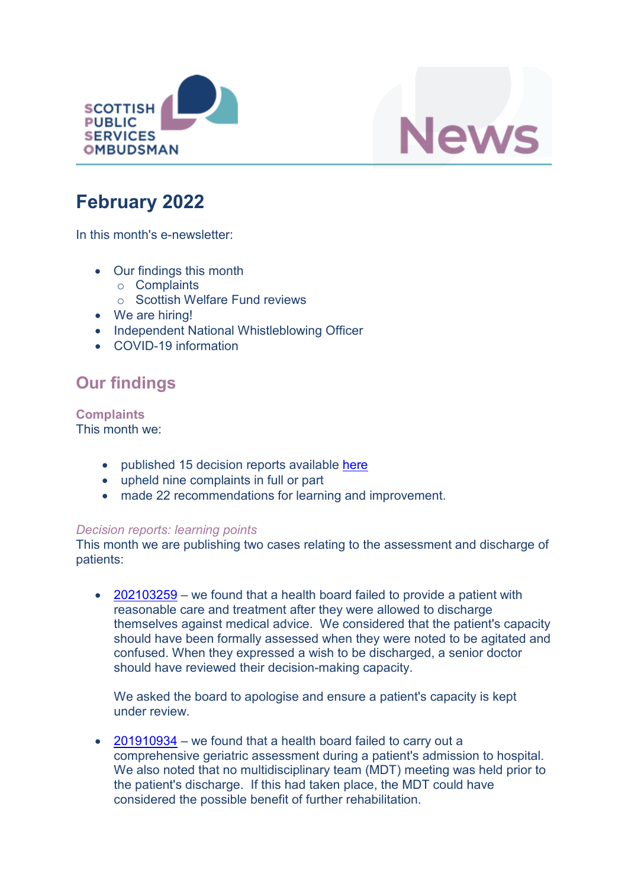



# **February 2022**

In this month's e-newsletter:

- Our findings this month
	- o Complaints
	- o Scottish Welfare Fund reviews
- We are hiring!
- Independent National Whistleblowing Officer
- COVID-19 information

# **Our findings**

**Complaints** This month we:

- published 15 decision reports available [here](https://www.spso.org.uk/our-findings)
- upheld nine complaints in full or part
- made 22 recommendations for learning and improvement.

### *Decision reports: learning points*

This month we are publishing two cases relating to the assessment and discharge of patients:

• [202103259](https://www.spso.org.uk/decision-reports/2022/february/decision-report-202103259-202103259) – we found that a health board failed to provide a patient with reasonable care and treatment after they were allowed to discharge themselves against medical advice. We considered that the patient's capacity should have been formally assessed when they were noted to be agitated and confused. When they expressed a wish to be discharged, a senior doctor should have reviewed their decision-making capacity.

We asked the board to apologise and ensure a patient's capacity is kept under review.

• [201910934](https://www.spso.org.uk/decision-reports/2022/february/decision-report-201910934-201910934) – we found that a health board failed to carry out a comprehensive geriatric assessment during a patient's admission to hospital. We also noted that no multidisciplinary team (MDT) meeting was held prior to the patient's discharge. If this had taken place, the MDT could have considered the possible benefit of further rehabilitation.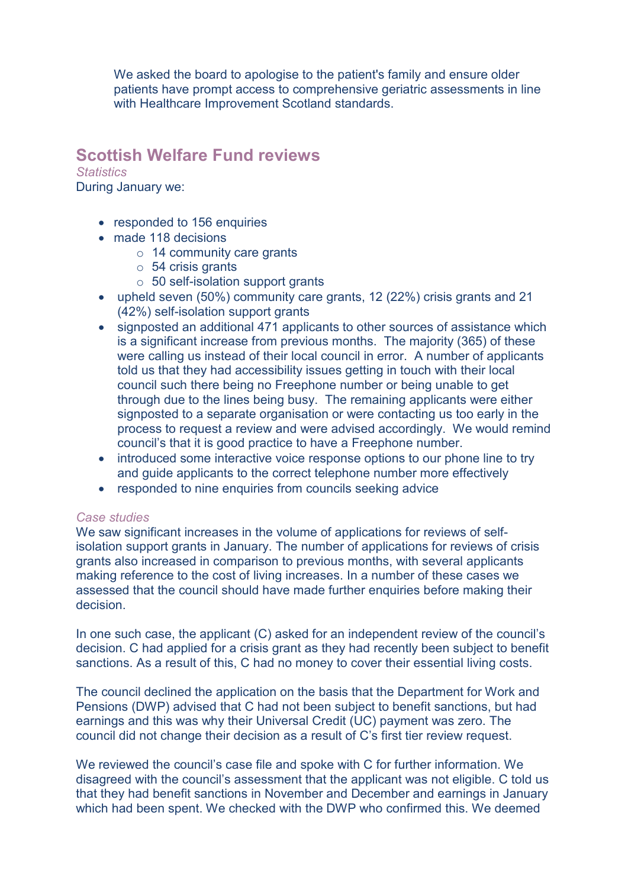We asked the board to apologise to the patient's family and ensure older patients have prompt access to comprehensive geriatric assessments in line with Healthcare Improvement Scotland standards.

## **Scottish Welfare Fund reviews**

*Statistics* During January we:

- responded to 156 enquiries
- made 118 decisions
	- o 14 community care grants
	- o 54 crisis grants
	- $\circ$  50 self-isolation support grants
- upheld seven (50%) community care grants, 12 (22%) crisis grants and 21 (42%) self-isolation support grants
- signposted an additional 471 applicants to other sources of assistance which is a significant increase from previous months. The majority (365) of these were calling us instead of their local council in error. A number of applicants told us that they had accessibility issues getting in touch with their local council such there being no Freephone number or being unable to get through due to the lines being busy. The remaining applicants were either signposted to a separate organisation or were contacting us too early in the process to request a review and were advised accordingly. We would remind council's that it is good practice to have a Freephone number.
- introduced some interactive voice response options to our phone line to try and guide applicants to the correct telephone number more effectively
- responded to nine enquiries from councils seeking advice

### *Case studies*

We saw significant increases in the volume of applications for reviews of selfisolation support grants in January. The number of applications for reviews of crisis grants also increased in comparison to previous months, with several applicants making reference to the cost of living increases. In a number of these cases we assessed that the council should have made further enquiries before making their decision.

In one such case, the applicant (C) asked for an independent review of the council's decision. C had applied for a crisis grant as they had recently been subject to benefit sanctions. As a result of this, C had no money to cover their essential living costs.

The council declined the application on the basis that the Department for Work and Pensions (DWP) advised that C had not been subject to benefit sanctions, but had earnings and this was why their Universal Credit (UC) payment was zero. The council did not change their decision as a result of C's first tier review request.

We reviewed the council's case file and spoke with C for further information. We disagreed with the council's assessment that the applicant was not eligible. C told us that they had benefit sanctions in November and December and earnings in January which had been spent. We checked with the DWP who confirmed this. We deemed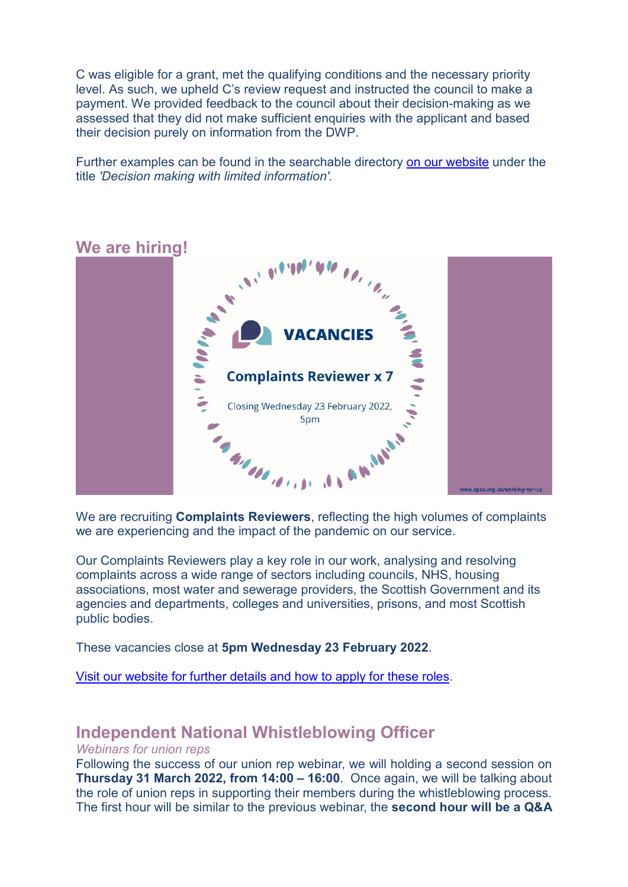C was eligible for a grant, met the qualifying conditions and the necessary priority level. As such, we upheld C's review request and instructed the council to make a payment. We provided feedback to the council about their decision-making as we assessed that they did not make sufficient enquiries with the applicant and based their decision purely on information from the DWP.

Further examples can be found in the searchable directory [on our website](https://www.spso.org.uk/scottishwelfarefund/case-summaries) under the title *'Decision making with limited information'.*



### **We are hiring!**

we are experiencing and the impact of the pandemic on our service.

Our Complaints Reviewers play a key role in our work, analysing and resolving complaints across a wide range of sectors including councils, NHS, housing associations, most water and sewerage providers, the Scottish Government and its agencies and departments, colleges and universities, prisons, and most Scottish public bodies.

These vacancies close at **5pm Wednesday 23 February 2022**.

[Visit our website for further details and how to apply for these roles.](https://www.spso.org.uk/vacancy-complaints-reviewer-x-7)

# **Independent National Whistleblowing Officer**

### *Webinars for union reps*

Following the success of our union rep webinar, we will holding a second session on **Thursday 31 March 2022, from 14:00 – 16:00**. Once again, we will be talking about the role of union reps in supporting their members during the whistleblowing process. The first hour will be similar to the previous webinar, the **second hour will be a Q&A**